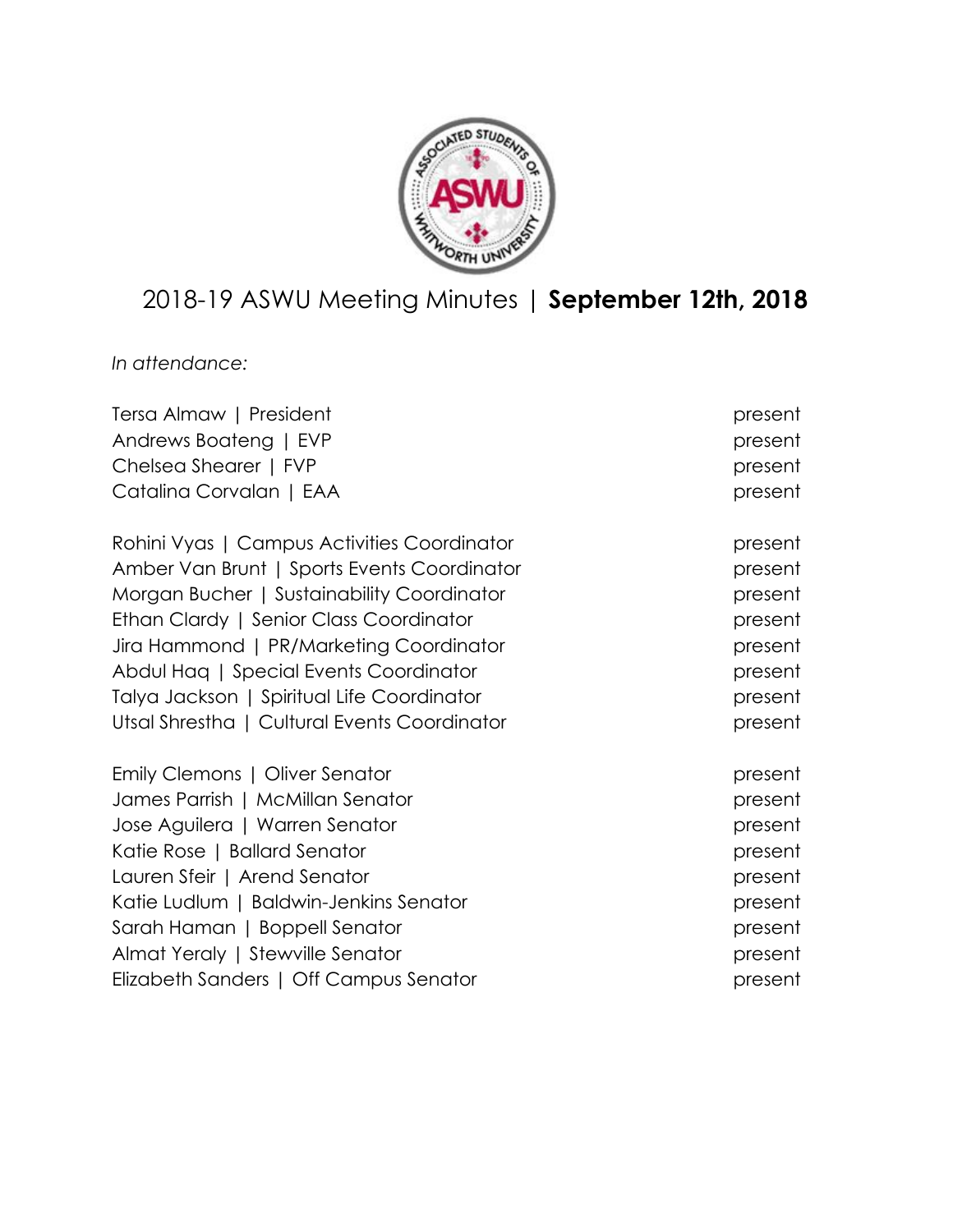

# 2018-19 ASWU Meeting Minutes | **September 12th, 2018**

*In attendance:*

| Tersa Almaw   President                      | present |
|----------------------------------------------|---------|
| Andrews Boateng   EVP                        | present |
| Chelsea Shearer   FVP                        | present |
| Catalina Corvalan   EAA                      | present |
| Rohini Vyas   Campus Activities Coordinator  | present |
| Amber Van Brunt   Sports Events Coordinator  | present |
| Morgan Bucher   Sustainability Coordinator   | present |
| Ethan Clardy   Senior Class Coordinator      | present |
| Jira Hammond   PR/Marketing Coordinator      | present |
| Abdul Hag   Special Events Coordinator       | present |
| Talya Jackson   Spiritual Life Coordinator   | present |
| Utsal Shrestha   Cultural Events Coordinator | present |
| Emily Clemons   Oliver Senator               | present |
| James Parrish   McMillan Senator             | present |
| Jose Aguilera   Warren Senator               | present |
| Katie Rose   Ballard Senator                 | present |
| Lauren Sfeir   Arend Senator                 | present |
| Katie Ludlum   Baldwin-Jenkins Senator       | present |
| Sarah Haman   Boppell Senator                | present |
| Almat Yeraly   Stewville Senator             | present |
| Elizabeth Sanders   Off Campus Senator       | present |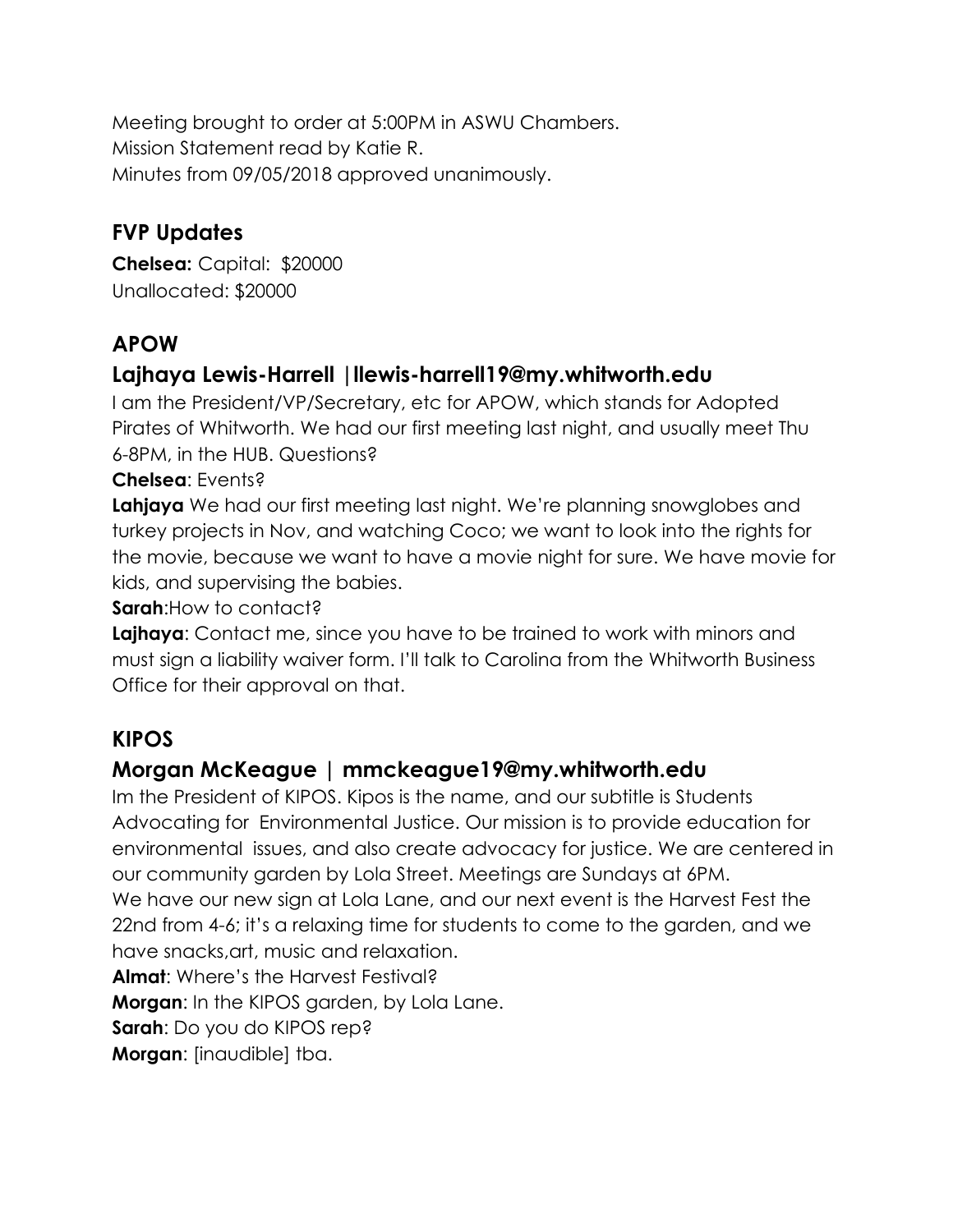Meeting brought to order at 5:00PM in ASWU Chambers. Mission Statement read by Katie R. Minutes from 09/05/2018 approved unanimously.

## **FVP Updates**

**Chelsea:** Capital: \$20000 Unallocated: \$20000

## **APOW**

### **Lajhaya Lewis-Harrell |llewis-harrell19@my.whitworth.edu**

I am the President/VP/Secretary, etc for APOW, which stands for Adopted Pirates of Whitworth. We had our first meeting last night, and usually meet Thu 6-8PM, in the HUB. Questions?

#### **Chelsea**: Events?

**Lahjaya** We had our first meeting last night. We're planning snowglobes and turkey projects in Nov, and watching Coco; we want to look into the rights for the movie, because we want to have a movie night for sure. We have movie for kids, and supervising the babies.

**Sarah**:How to contact?

**Lajhaya**: Contact me, since you have to be trained to work with minors and must sign a liability waiver form. I'll talk to Carolina from the Whitworth Business Office for their approval on that.

## **KIPOS**

#### **Morgan McKeague | mmckeague19@my.whitworth.edu**

Im the President of KIPOS. Kipos is the name, and our subtitle is Students Advocating for Environmental Justice. Our mission is to provide education for environmental issues, and also create advocacy for justice. We are centered in our community garden by Lola Street. Meetings are Sundays at 6PM. We have our new sign at Lola Lane, and our next event is the Harvest Fest the 22nd from 4-6; it's a relaxing time for students to come to the garden, and we have snacks,art, music and relaxation. **Almat**: Where's the Harvest Festival? **Morgan**: In the KIPOS garden, by Lola Lane. **Sarah**: Do you do KIPOS rep? **Morgan**: [inaudible] tba.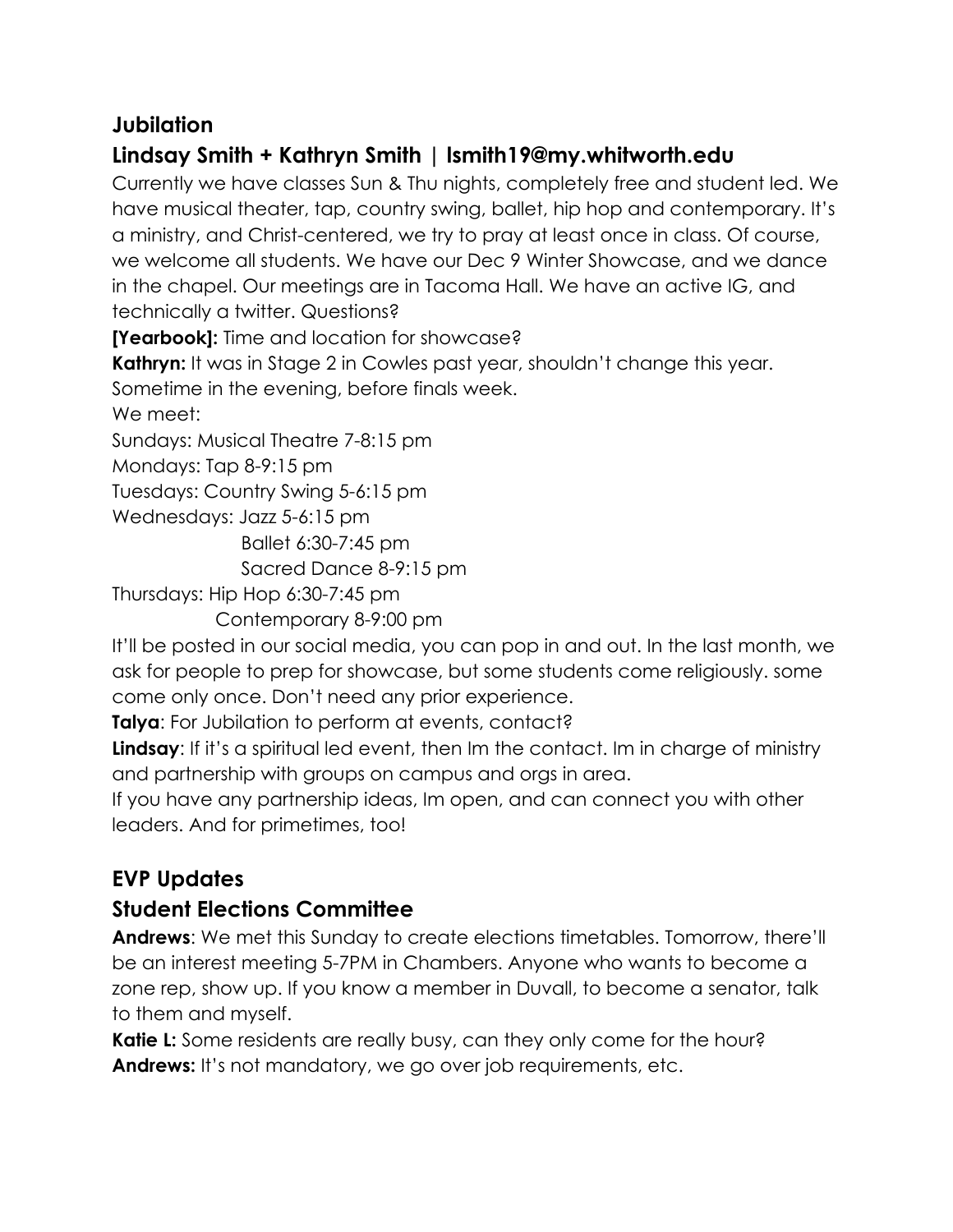#### **Jubilation**

## **Lindsay Smith + Kathryn Smith | lsmith19@my.whitworth.edu**

Currently we have classes Sun & Thu nights, completely free and student led. We have musical theater, tap, country swing, ballet, hip hop and contemporary. It's a ministry, and Christ-centered, we try to pray at least once in class. Of course, we welcome all students. We have our Dec 9 Winter Showcase, and we dance in the chapel. Our meetings are in Tacoma Hall. We have an active IG, and technically a twitter. Questions?

**[Yearbook]:** Time and location for showcase?

**Kathryn:** It was in Stage 2 in Cowles past year, shouldn't change this year. Sometime in the evening, before finals week.

We meet:

Sundays: Musical Theatre 7-8:15 pm

Mondays: Tap 8-9:15 pm

Tuesdays: Country Swing 5-6:15 pm

Wednesdays: Jazz 5-6:15 pm

Ballet 6:30-7:45 pm

Sacred Dance 8-9:15 pm

Thursdays: Hip Hop 6:30-7:45 pm

Contemporary 8-9:00 pm

It'll be posted in our social media, you can pop in and out. In the last month, we ask for people to prep for showcase, but some students come religiously. some come only once. Don't need any prior experience.

**Talya**: For Jubilation to perform at events, contact?

**Lindsay**: If it's a spiritual led event, then Im the contact. Im in charge of ministry and partnership with groups on campus and orgs in area.

If you have any partnership ideas, Im open, and can connect you with other leaders. And for primetimes, too!

## **EVP Updates**

#### **Student Elections Committee**

**Andrews**: We met this Sunday to create elections timetables. Tomorrow, there'll be an interest meeting 5-7PM in Chambers. Anyone who wants to become a zone rep, show up. If you know a member in Duvall, to become a senator, talk to them and myself.

**Katie L:** Some residents are really busy, can they only come for the hour? **Andrews:** It's not mandatory, we go over job requirements, etc.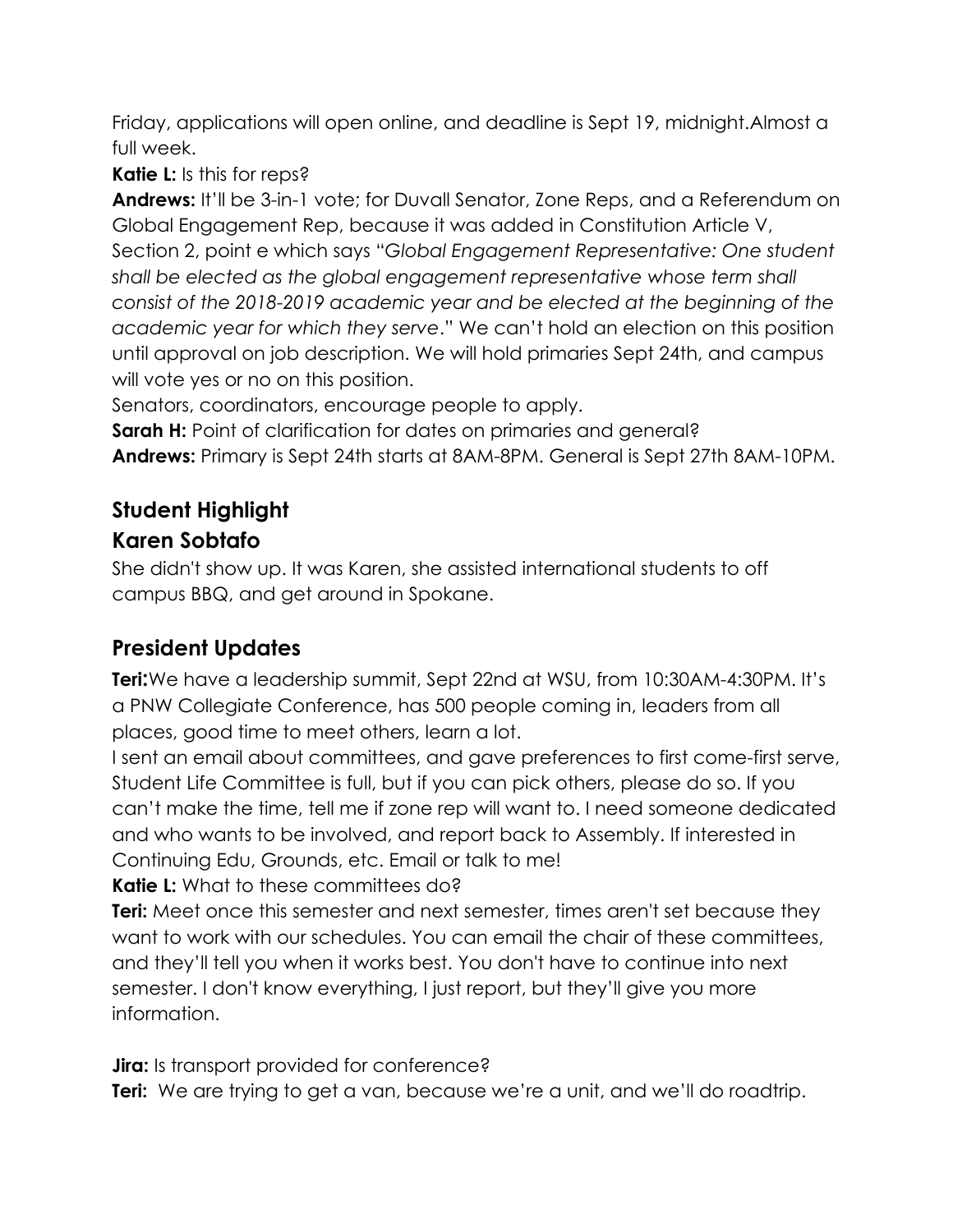Friday, applications will open online, and deadline is Sept 19, midnight.Almost a full week.

**Katie L:** Is this for reps?

**Andrews:** It'll be 3-in-1 vote; for Duvall Senator, Zone Reps, and a Referendum on Global Engagement Rep, because it was added in Constitution Article V, Section 2, point e which says "*Global Engagement Representative: One student shall be elected as the global engagement representative whose term shall consist of the 2018-2019 academic year and be elected at the beginning of the academic year for which they serve*." We can't hold an election on this position until approval on job description. We will hold primaries Sept 24th, and campus will vote yes or no on this position.

Senators, coordinators, encourage people to apply.

**Sarah H:** Point of clarification for dates on primaries and general?

**Andrews:** Primary is Sept 24th starts at 8AM-8PM. General is Sept 27th 8AM-10PM.

#### **Student Highlight Karen Sobtafo**

She didn't show up. It was Karen, she assisted international students to off campus BBQ, and get around in Spokane.

## **President Updates**

**Teri:**We have a leadership summit, Sept 22nd at WSU, from 10:30AM-4:30PM. It's a PNW Collegiate Conference, has 500 people coming in, leaders from all places, good time to meet others, learn a lot.

I sent an email about committees, and gave preferences to first come-first serve, Student Life Committee is full, but if you can pick others, please do so. If you can't make the time, tell me if zone rep will want to. I need someone dedicated and who wants to be involved, and report back to Assembly. If interested in Continuing Edu, Grounds, etc. Email or talk to me!

**Katie L:** What to these committees do?

**Teri:** Meet once this semester and next semester, times aren't set because they want to work with our schedules. You can email the chair of these committees, and they'll tell you when it works best. You don't have to continue into next semester. I don't know everything, I just report, but they'll give you more information.

**Jira:** Is transport provided for conference?

**Teri:** We are trying to get a van, because we're a unit, and we'll do roadtrip.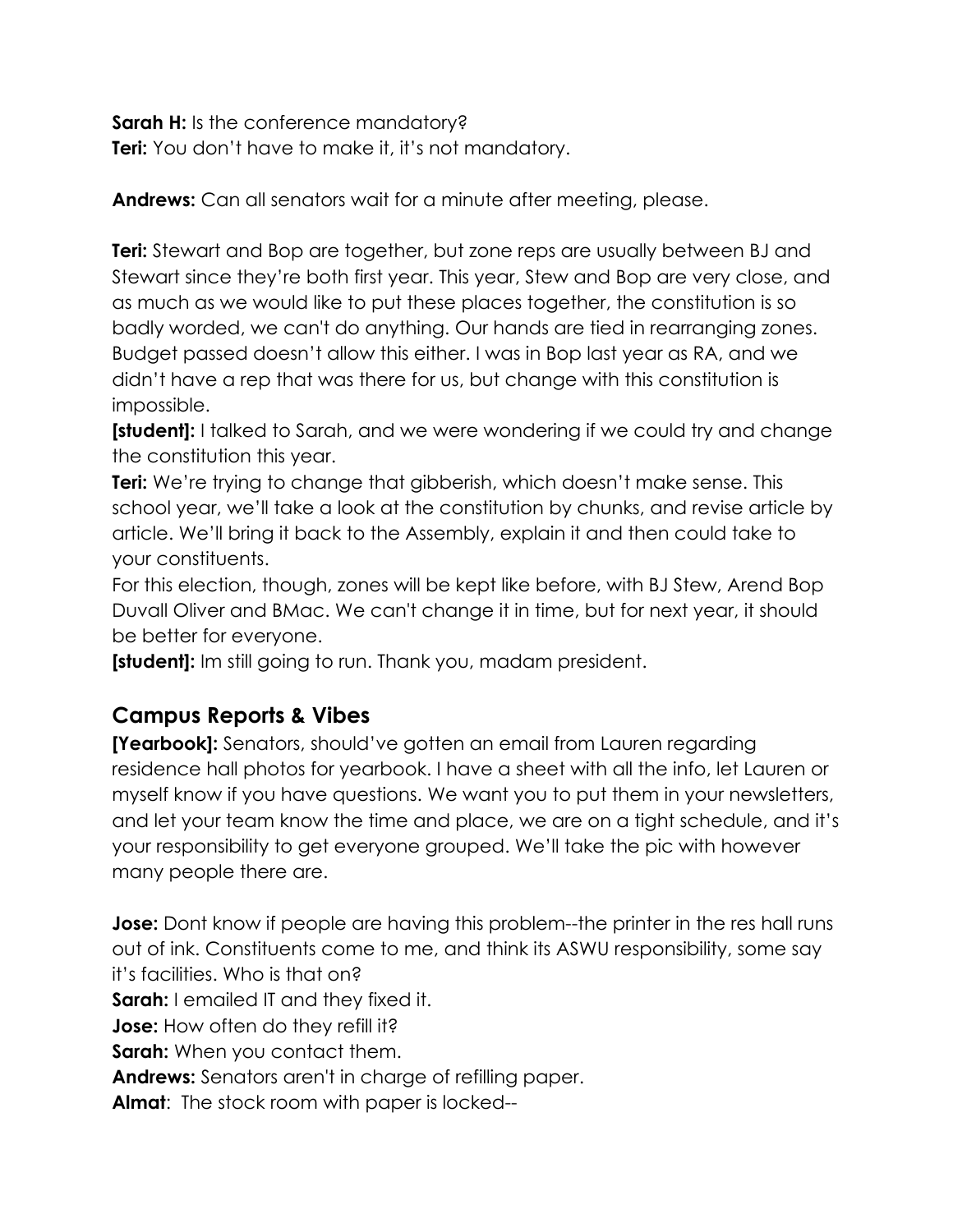**Sarah H:** Is the conference mandatory? **Teri:** You don't have to make it, it's not mandatory.

**Andrews:** Can all senators wait for a minute after meeting, please.

**Teri:** Stewart and Bop are together, but zone reps are usually between BJ and Stewart since they're both first year. This year, Stew and Bop are very close, and as much as we would like to put these places together, the constitution is so badly worded, we can't do anything. Our hands are tied in rearranging zones. Budget passed doesn't allow this either. I was in Bop last year as RA, and we didn't have a rep that was there for us, but change with this constitution is impossible.

**[student]:** I talked to Sarah, and we were wondering if we could try and change the constitution this year.

**Teri:** We're trying to change that gibberish, which doesn't make sense. This school year, we'll take a look at the constitution by chunks, and revise article by article. We'll bring it back to the Assembly, explain it and then could take to your constituents.

For this election, though, zones will be kept like before, with BJ Stew, Arend Bop Duvall Oliver and BMac. We can't change it in time, but for next year, it should be better for everyone.

**[student]:** Im still going to run. Thank you, madam president.

#### **Campus Reports & Vibes**

**[Yearbook]:** Senators, should've gotten an email from Lauren regarding residence hall photos for yearbook. I have a sheet with all the info, let Lauren or myself know if you have questions. We want you to put them in your newsletters, and let your team know the time and place, we are on a tight schedule, and it's your responsibility to get everyone grouped. We'll take the pic with however many people there are.

**Jose:** Dont know if people are having this problem--the printer in the res hall runs out of ink. Constituents come to me, and think its ASWU responsibility, some say it's facilities. Who is that on? **Sarah:** I emailed IT and they fixed it. **Jose:** How often do they refill it? **Sarah:** When you contact them. **Andrews:** Senators aren't in charge of refilling paper. **Almat**: The stock room with paper is locked--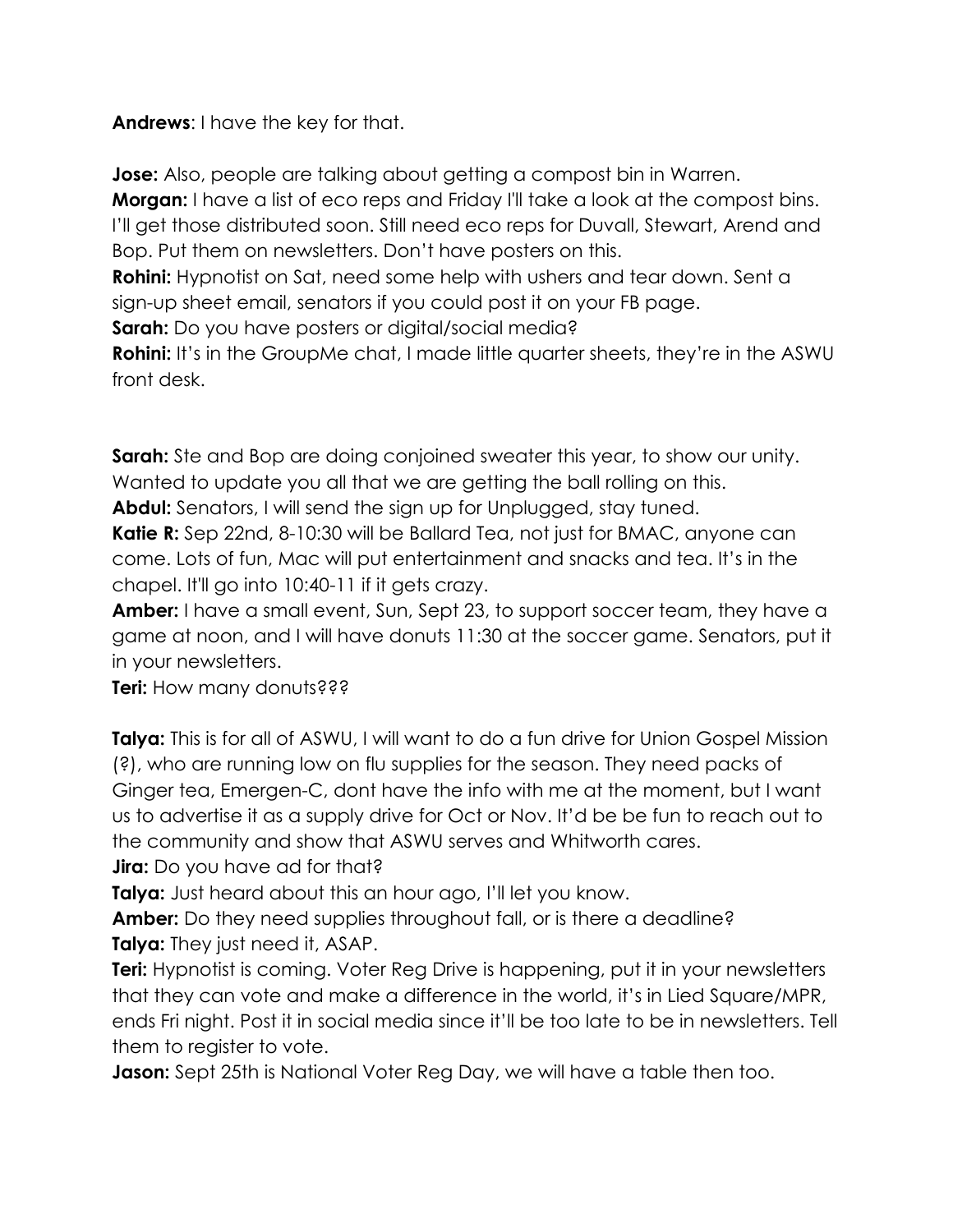**Andrews**: I have the key for that.

**Jose:** Also, people are talking about getting a compost bin in Warren.

**Morgan:** I have a list of eco reps and Friday I'll take a look at the compost bins. I'll get those distributed soon. Still need eco reps for Duvall, Stewart, Arend and Bop. Put them on newsletters. Don't have posters on this.

**Rohini:** Hypnotist on Sat, need some help with ushers and tear down. Sent a sign-up sheet email, senators if you could post it on your FB page.

**Sarah:** Do you have posters or digital/social media?

**Rohini:** It's in the GroupMe chat, I made little quarter sheets, they're in the ASWU front desk.

**Sarah:** Ste and Bop are doing conjoined sweater this year, to show our unity. Wanted to update you all that we are getting the ball rolling on this.

**Abdul:** Senators, I will send the sign up for Unplugged, stay tuned.

**Katie R:** Sep 22nd, 8-10:30 will be Ballard Tea, not just for BMAC, anyone can come. Lots of fun, Mac will put entertainment and snacks and tea. It's in the chapel. It'll go into 10:40-11 if it gets crazy.

**Amber:** I have a small event, Sun, Sept 23, to support soccer team, they have a game at noon, and I will have donuts 11:30 at the soccer game. Senators, put it in your newsletters.

**Teri:** How many donuts???

**Talya:** This is for all of ASWU, I will want to do a fun drive for Union Gospel Mission (?), who are running low on flu supplies for the season. They need packs of Ginger tea, Emergen-C, dont have the info with me at the moment, but I want us to advertise it as a supply drive for Oct or Nov. It'd be be fun to reach out to the community and show that ASWU serves and Whitworth cares.

**Jira:** Do you have ad for that?

**Talya:** Just heard about this an hour ago, I'll let you know.

**Amber:** Do they need supplies throughout fall, or is there a deadline? **Talya:** They just need it, ASAP.

**Teri:** Hypnotist is coming. Voter Reg Drive is happening, put it in your newsletters that they can vote and make a difference in the world, it's in Lied Square/MPR, ends Fri night. Post it in social media since it'll be too late to be in newsletters. Tell them to register to vote.

**Jason:** Sept 25th is National Voter Reg Day, we will have a table then too.